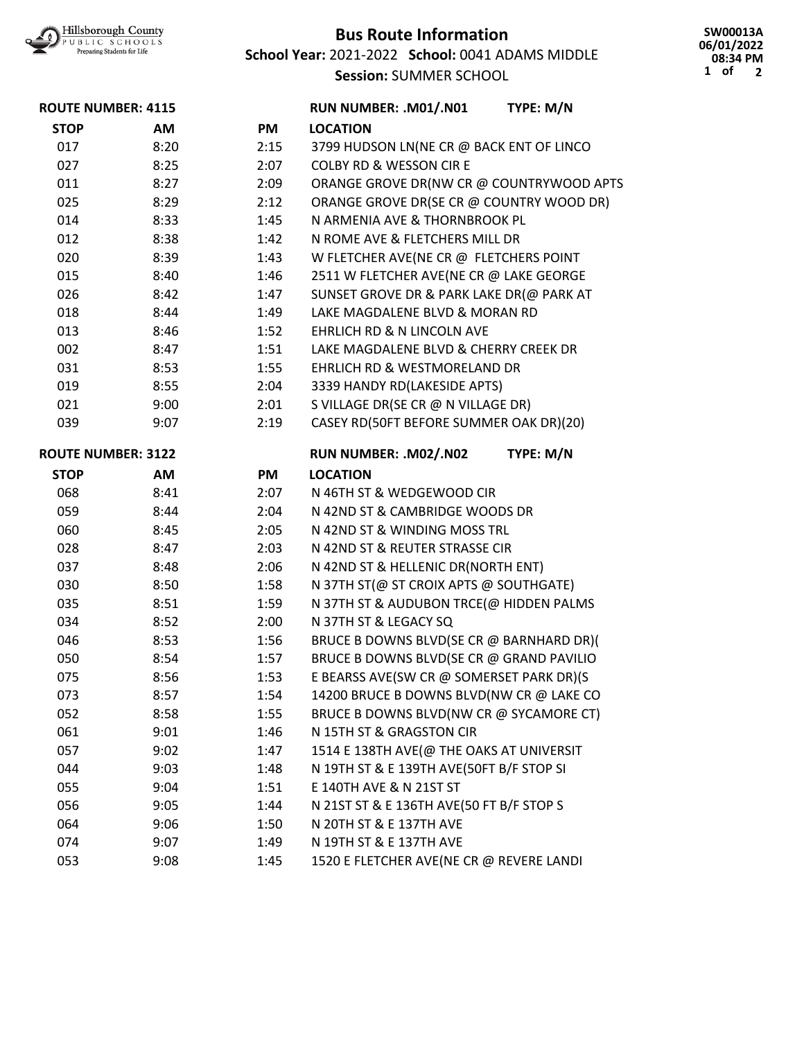

## **Bus Route Information**

**School Year:** 2021-2022 **School:** 0041 ADAMS MIDDLE **Session:** SUMMER SCHOOL

**SW00013A 06/01/2022 08:34 PM 1 of 2**

| <b>ROUTE NUMBER: 4115</b> |      |      | RUN NUMBER: .M01/.N01                    | TYPE: M/N |
|---------------------------|------|------|------------------------------------------|-----------|
| <b>STOP</b>               | AM   | PM   | <b>LOCATION</b>                          |           |
| 017                       | 8:20 | 2:15 | 3799 HUDSON LN(NE CR @ BACK ENT OF LINCO |           |
| 027                       | 8:25 | 2:07 | <b>COLBY RD &amp; WESSON CIR E</b>       |           |
| 011                       | 8:27 | 2:09 | ORANGE GROVE DR(NW CR @ COUNTRYWOOD APTS |           |
| 025                       | 8:29 | 2:12 | ORANGE GROVE DR(SE CR @ COUNTRY WOOD DR) |           |
| 014                       | 8:33 | 1:45 | N ARMENIA AVE & THORNBROOK PL            |           |
| 012                       | 8:38 | 1:42 | N ROME AVE & FLETCHERS MILL DR           |           |
| 020                       | 8:39 | 1:43 | W FLETCHER AVE(NE CR @ FLETCHERS POINT   |           |
| 015                       | 8:40 | 1:46 | 2511 W FLETCHER AVE(NE CR @ LAKE GEORGE  |           |
| 026                       | 8:42 | 1:47 | SUNSET GROVE DR & PARK LAKE DR(@ PARK AT |           |
| 018                       | 8:44 | 1:49 | LAKE MAGDALENE BLVD & MORAN RD           |           |
| 013                       | 8:46 | 1:52 | <b>EHRLICH RD &amp; N LINCOLN AVE</b>    |           |
| 002                       | 8:47 | 1:51 | LAKE MAGDALENE BLVD & CHERRY CREEK DR    |           |
| 031                       | 8:53 | 1:55 | EHRLICH RD & WESTMORELAND DR             |           |
| 019                       | 8:55 | 2:04 | 3339 HANDY RD(LAKESIDE APTS)             |           |
| 021                       | 9:00 | 2:01 | S VILLAGE DR(SE CR @ N VILLAGE DR)       |           |
| 039                       | 9:07 | 2:19 | CASEY RD(50FT BEFORE SUMMER OAK DR)(20)  |           |
| <b>ROUTE NUMBER: 3122</b> |      |      | RUN NUMBER: .M02/.N02                    | TYPE: M/N |
| <b>STOP</b>               | AM   | PM   | <b>LOCATION</b>                          |           |
| 068                       | 8:41 | 2:07 | N 46TH ST & WEDGEWOOD CIR                |           |
| 059                       | 8:44 | 2:04 | N 42ND ST & CAMBRIDGE WOODS DR           |           |
| 060                       | 8:45 | 2:05 | N 42ND ST & WINDING MOSS TRL             |           |
| 028                       | 8:47 | 2:03 | N 42ND ST & REUTER STRASSE CIR           |           |
| 037                       | 8:48 | 2:06 | N 42ND ST & HELLENIC DR(NORTH ENT)       |           |
| 030                       | 8:50 | 1:58 | N 37TH ST(@ ST CROIX APTS @ SOUTHGATE)   |           |
| 035                       | 8:51 | 1:59 | N 37TH ST & AUDUBON TRCE(@ HIDDEN PALMS  |           |
| 034                       | 8:52 | 2:00 | N 37TH ST & LEGACY SQ                    |           |
| 046                       | 8:53 | 1:56 | BRUCE B DOWNS BLVD(SE CR @ BARNHARD DR)( |           |
| 050                       | 8:54 | 1:57 | BRUCE B DOWNS BLVD(SE CR @ GRAND PAVILIO |           |
| 075                       | 8:56 | 1:53 | E BEARSS AVE(SW CR @ SOMERSET PARK DR)(S |           |
| 073                       | 8:57 | 1:54 | 14200 BRUCE B DOWNS BLVD(NW CR @ LAKE CO |           |
| 052                       | 8:58 | 1:55 | BRUCE B DOWNS BLVD(NW CR @ SYCAMORE CT)  |           |
| 061                       | 9:01 | 1:46 | N 15TH ST & GRAGSTON CIR                 |           |
| 057                       | 9:02 | 1:47 | 1514 E 138TH AVE(@ THE OAKS AT UNIVERSIT |           |
| 044                       | 9:03 | 1:48 | N 19TH ST & E 139TH AVE(50FT B/F STOP SI |           |
| 055                       | 9:04 | 1:51 | E 140TH AVE & N 21ST ST                  |           |
| 056                       | 9:05 | 1:44 | N 21ST ST & E 136TH AVE(50 FT B/F STOP S |           |
| 064                       | 9:06 | 1:50 | N 20TH ST & E 137TH AVE                  |           |
| 074                       | 9:07 | 1:49 | N 19TH ST & E 137TH AVE                  |           |
| 053                       | 9:08 | 1:45 | 1520 E FLETCHER AVE(NE CR @ REVERE LANDI |           |